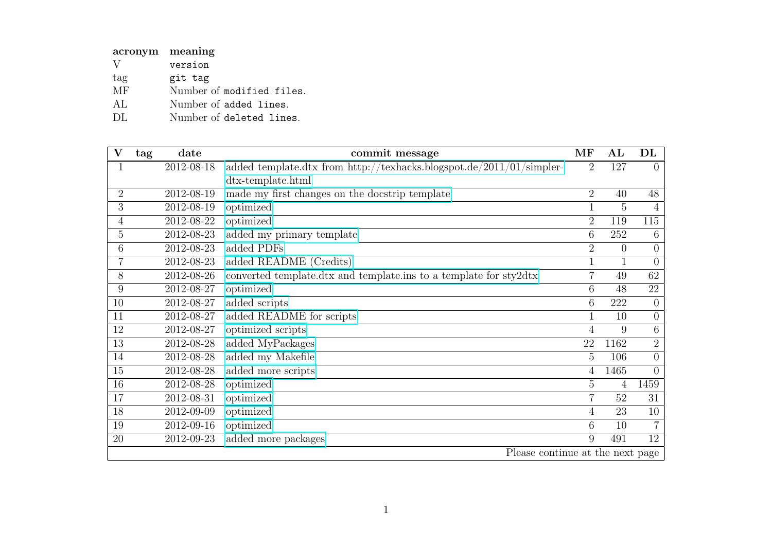| acronym meaning        |                           |
|------------------------|---------------------------|
| V                      | version                   |
| tag                    | git tag                   |
| $\overline{\text{MF}}$ | Number of modified files. |
| AL                     | Number of added lines.    |
| DL                     | Number of deleted lines.  |

| V              | tag                              | date       | commit message                                                       | $\rm{MF}$      | $\mathbf{A}\mathbf{L}$ | DL             |
|----------------|----------------------------------|------------|----------------------------------------------------------------------|----------------|------------------------|----------------|
|                |                                  | 2012-08-18 | added template.dtx from http://texhacks.blogspot.de/2011/01/simpler- | $\overline{2}$ | 127                    | $\overline{0}$ |
|                |                                  |            | dtx-template.html                                                    |                |                        |                |
| $\overline{2}$ |                                  | 2012-08-19 | made my first changes on the docstrip template                       | $\overline{2}$ | 40                     | 48             |
| 3              |                                  | 2012-08-19 | optimized                                                            |                | 5                      | 4              |
| 4              |                                  | 2012-08-22 | optimized                                                            | $\overline{2}$ | 119                    | 115            |
| 5              |                                  | 2012-08-23 | added my primary template                                            | 6              | 252                    | 6              |
| 6              |                                  | 2012-08-23 | added PDFs                                                           | $\overline{2}$ | $\theta$               | $\overline{0}$ |
|                |                                  | 2012-08-23 | added README (Credits)                                               |                |                        | $\overline{0}$ |
| 8              |                                  | 2012-08-26 | converted template.dtx and template.ins to a template for sty2dtx    | $\overline{7}$ | 49                     | 62             |
| 9              |                                  | 2012-08-27 | optimized                                                            | 6              | 48                     | 22             |
| 10             |                                  | 2012-08-27 | added scripts                                                        | 6              | 222                    | $\theta$       |
| 11             |                                  | 2012-08-27 | added README for scripts                                             |                | 10                     | $\overline{0}$ |
| 12             |                                  | 2012-08-27 | optimized scripts                                                    | $\overline{4}$ | 9                      | $6\,$          |
| 13             |                                  | 2012-08-28 | added MyPackages                                                     | 22             | 1162                   | $\overline{2}$ |
| 14             |                                  | 2012-08-28 | added my Makefile                                                    | 5              | 106                    | $\overline{0}$ |
| 15             |                                  | 2012-08-28 | added more scripts                                                   | 4              | 1465                   | $\theta$       |
| 16             |                                  | 2012-08-28 | optimized                                                            | 5              | 4                      | 1459           |
| 17             |                                  | 2012-08-31 | optimized                                                            | $\overline{7}$ | 52                     | 31             |
| 18             |                                  | 2012-09-09 | optimized                                                            | 4              | 23                     | 10             |
| 19             |                                  | 2012-09-16 | optimized                                                            | 6              | 10                     | $\overline{7}$ |
| 20             |                                  | 2012-09-23 | added more packages                                                  | 9              | 491                    | 12             |
|                | Please continue at the next page |            |                                                                      |                |                        |                |